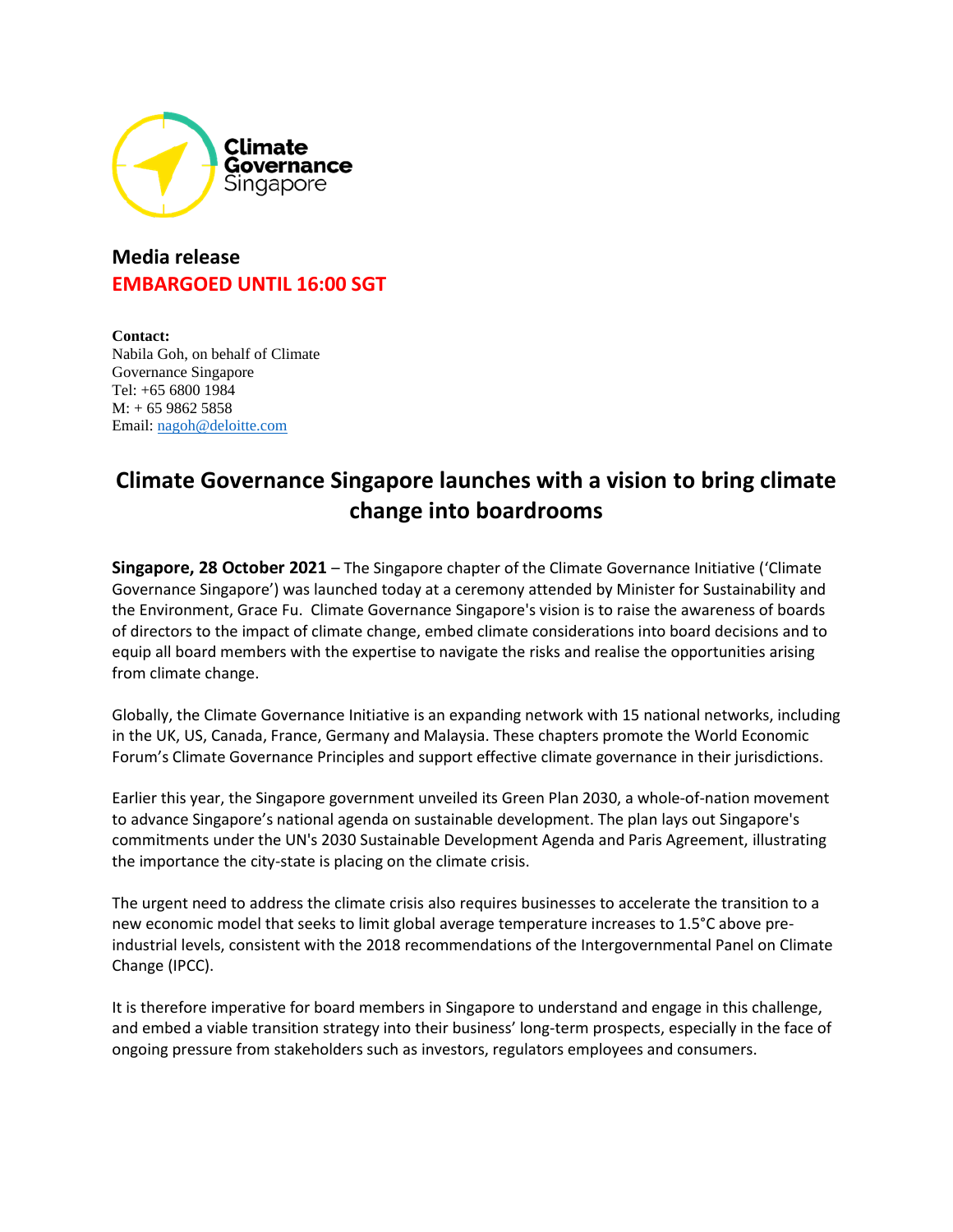

## **Media release EMBARGOED UNTIL 16:00 SGT**

**Contact:** Nabila Goh, on behalf of Climate Governance Singapore Tel: +65 6800 1984  $M: + 6598625858$ Email: [nagoh@deloitte.com](mailto:nagoh@deloitte.com)

## **Climate Governance Singapore launches with a vision to bring climate change into boardrooms**

**Singapore, 28 October 2021** – The Singapore chapter of the Climate Governance Initiative ('Climate Governance Singapore') was launched today at a ceremony attended by Minister for Sustainability and the Environment, Grace Fu. Climate Governance Singapore's vision is to raise the awareness of boards of directors to the impact of climate change, embed climate considerations into board decisions and to equip all board members with the expertise to navigate the risks and realise the opportunities arising from climate change.

Globally, the [Climate Governance Initiative](http://climate-governance.org/) is an expanding network with 15 national networks, including in the UK, US, Canada, France, Germany and Malaysia. These chapters promote the [World Economic](http://www3.weforum.org/docs/WEF_Creating_effective_climate_governance_on_corporate_boards.pdf)  [Forum's Climate Governance Principles](http://www3.weforum.org/docs/WEF_Creating_effective_climate_governance_on_corporate_boards.pdf) and support effective climate governance in their jurisdictions.

Earlier this year, the Singapore government unveiled its Green Plan 2030, a whole-of-nation movement to advance Singapore's national agenda on sustainable development. The plan lays out Singapore's commitments under the UN's 2030 Sustainable Development Agenda and Paris Agreement, illustrating the importance the city-state is placing on the climate crisis.

The urgent need to address the climate crisis also requires businesses to accelerate the transition to a new economic model that seeks to limit global average temperature increases to 1.5°C above preindustrial levels, consistent with the 2018 recommendations of the Intergovernmental Panel on Climate Change (IPCC).

It is therefore imperative for board members in Singapore to understand and engage in this challenge, and embed a viable transition strategy into their business' long-term prospects, especially in the face of ongoing pressure from stakeholders such as investors, regulators employees and consumers.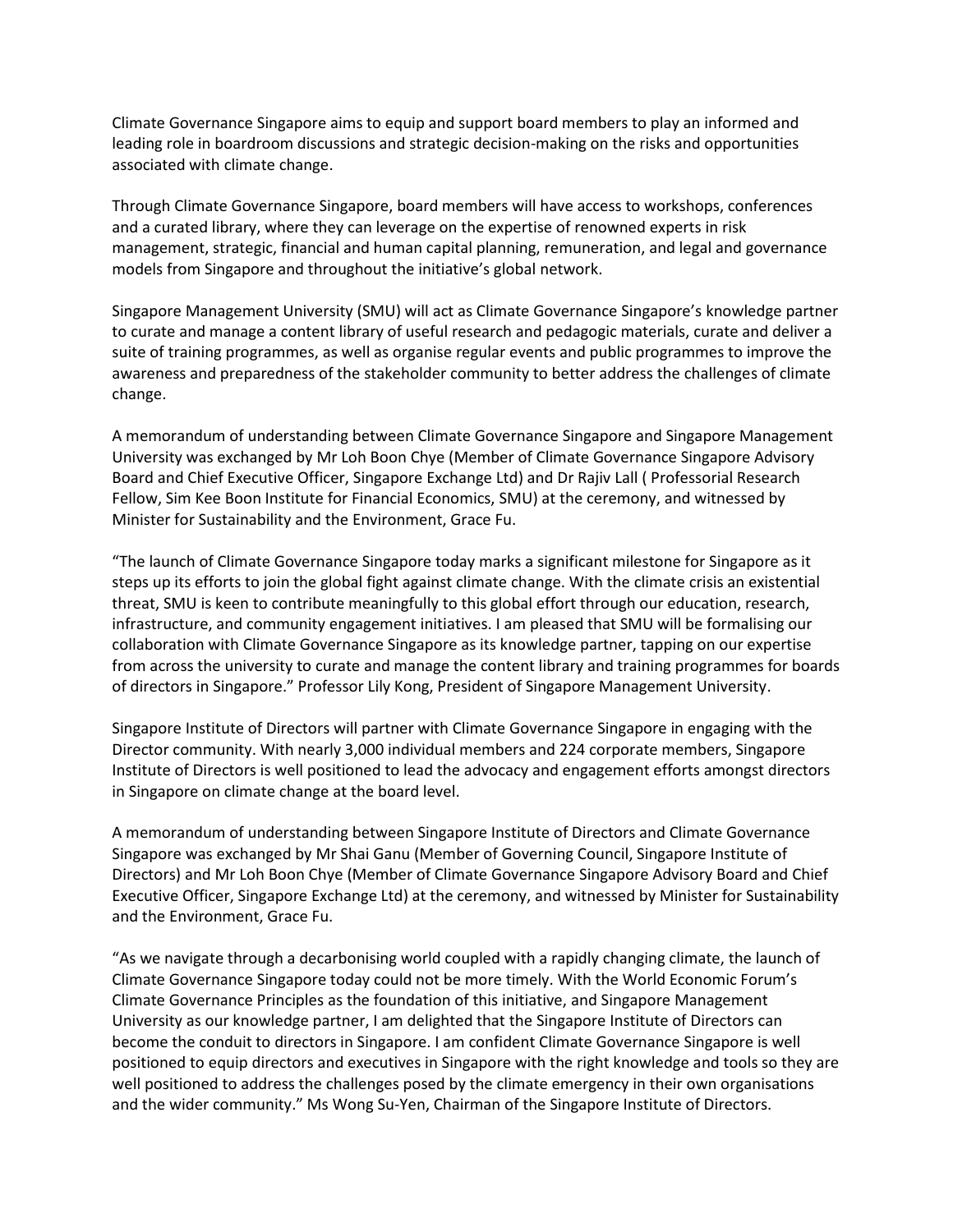Climate Governance Singapore aims to equip and support board members to play an informed and leading role in boardroom discussions and strategic decision-making on the risks and opportunities associated with climate change.

Through Climate Governance Singapore, board members will have access to workshops, conferences and a curated library, where they can leverage on the expertise of renowned experts in risk management, strategic, financial and human capital planning, remuneration, and legal and governance models from Singapore and throughout the initiative's global network.

Singapore Management University (SMU) will act as Climate Governance Singapore's knowledge partner to curate and manage a content library of useful research and pedagogic materials, curate and deliver a suite of training programmes, as well as organise regular events and public programmes to improve the awareness and preparedness of the stakeholder community to better address the challenges of climate change.

A memorandum of understanding between Climate Governance Singapore and Singapore Management University was exchanged by Mr Loh Boon Chye (Member of Climate Governance Singapore Advisory Board and Chief Executive Officer, Singapore Exchange Ltd) and Dr Rajiv Lall ( Professorial Research Fellow, Sim Kee Boon Institute for Financial Economics, SMU) at the ceremony, and witnessed by Minister for Sustainability and the Environment, Grace Fu.

"The launch of Climate Governance Singapore today marks a significant milestone for Singapore as it steps up its efforts to join the global fight against climate change. With the climate crisis an existential threat, SMU is keen to contribute meaningfully to this global effort through our education, research, infrastructure, and community engagement initiatives. I am pleased that SMU will be formalising our collaboration with Climate Governance Singapore as its knowledge partner, tapping on our expertise from across the university to curate and manage the content library and training programmes for boards of directors in Singapore." Professor Lily Kong, President of Singapore Management University.

Singapore Institute of Directors will partner with Climate Governance Singapore in engaging with the Director community. With nearly 3,000 individual members and 224 corporate members, Singapore Institute of Directors is well positioned to lead the advocacy and engagement efforts amongst directors in Singapore on climate change at the board level.

A memorandum of understanding between Singapore Institute of Directors and Climate Governance Singapore was exchanged by Mr Shai Ganu (Member of Governing Council, Singapore Institute of Directors) and Mr Loh Boon Chye (Member of Climate Governance Singapore Advisory Board and Chief Executive Officer, Singapore Exchange Ltd) at the ceremony, and witnessed by Minister for Sustainability and the Environment, Grace Fu.

"As we navigate through a decarbonising world coupled with a rapidly changing climate, the launch of Climate Governance Singapore today could not be more timely. With the World Economic Forum's Climate Governance Principles as the foundation of this initiative, and Singapore Management University as our knowledge partner, I am delighted that the Singapore Institute of Directors can become the conduit to directors in Singapore. I am confident Climate Governance Singapore is well positioned to equip directors and executives in Singapore with the right knowledge and tools so they are well positioned to address the challenges posed by the climate emergency in their own organisations and the wider community." Ms Wong Su-Yen, Chairman of the Singapore Institute of Directors.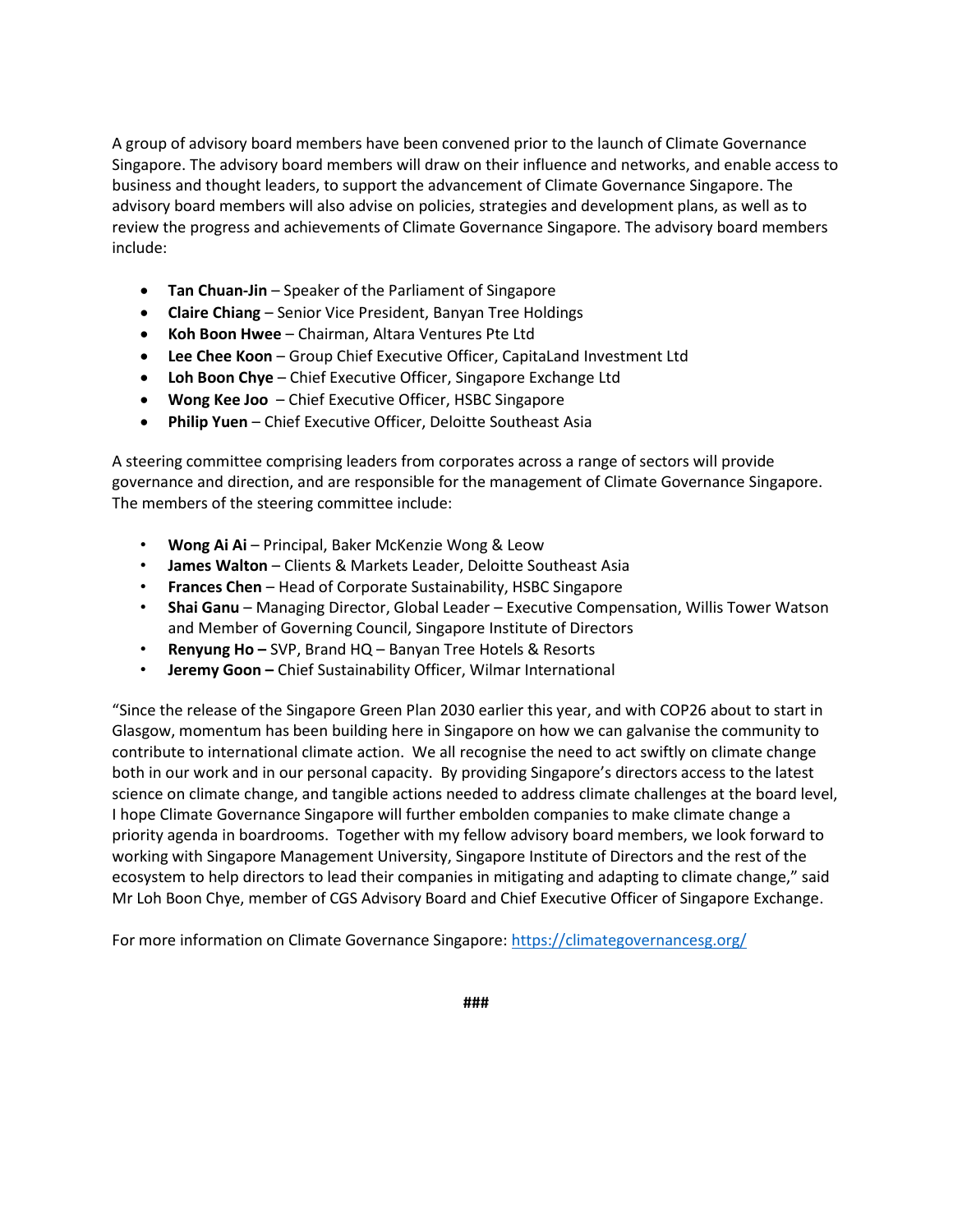A group of advisory board members have been convened prior to the launch of Climate Governance Singapore. The advisory board members will draw on their influence and networks, and enable access to business and thought leaders, to support the advancement of Climate Governance Singapore. The advisory board members will also advise on policies, strategies and development plans, as well as to review the progress and achievements of Climate Governance Singapore. The advisory board members include:

- **Tan Chuan-Jin**  Speaker of the Parliament of Singapore
- **Claire Chiang** Senior Vice President, Banyan Tree Holdings
- **Koh Boon Hwee** Chairman, Altara Ventures Pte Ltd
- **Lee Chee Koon** Group Chief Executive Officer, CapitaLand Investment Ltd
- **Loh Boon Chye** Chief Executive Officer, Singapore Exchange Ltd
- **Wong Kee Joo** Chief Executive Officer, HSBC Singapore
- **Philip Yuen** Chief Executive Officer, Deloitte Southeast Asia

A steering committee comprising leaders from corporates across a range of sectors will provide governance and direction, and are responsible for the management of Climate Governance Singapore. The members of the steering committee include:

- **Wong Ai Ai**  Principal, Baker McKenzie Wong & Leow
- **James Walton** Clients & Markets Leader, Deloitte Southeast Asia
- **Frances Chen**  Head of Corporate Sustainability, HSBC Singapore
- **Shai Ganu**  Managing Director, Global Leader Executive Compensation, Willis Tower Watson and Member of Governing Council, Singapore Institute of Directors
- **Renyung Ho –** SVP, Brand HQ Banyan Tree Hotels & Resorts
- **Jeremy Goon –** Chief Sustainability Officer, Wilmar International

"Since the release of the Singapore Green Plan 2030 earlier this year, and with COP26 about to start in Glasgow, momentum has been building here in Singapore on how we can galvanise the community to contribute to international climate action. We all recognise the need to act swiftly on climate change both in our work and in our personal capacity. By providing Singapore's directors access to the latest science on climate change, and tangible actions needed to address climate challenges at the board level, I hope Climate Governance Singapore will further embolden companies to make climate change a priority agenda in boardrooms. Together with my fellow advisory board members, we look forward to working with Singapore Management University, Singapore Institute of Directors and the rest of the ecosystem to help directors to lead their companies in mitigating and adapting to climate change," said Mr Loh Boon Chye, member of CGS Advisory Board and Chief Executive Officer of Singapore Exchange.

For more information on Climate Governance Singapore[: https://climategovernancesg.org/](https://climategovernancesg.org/)